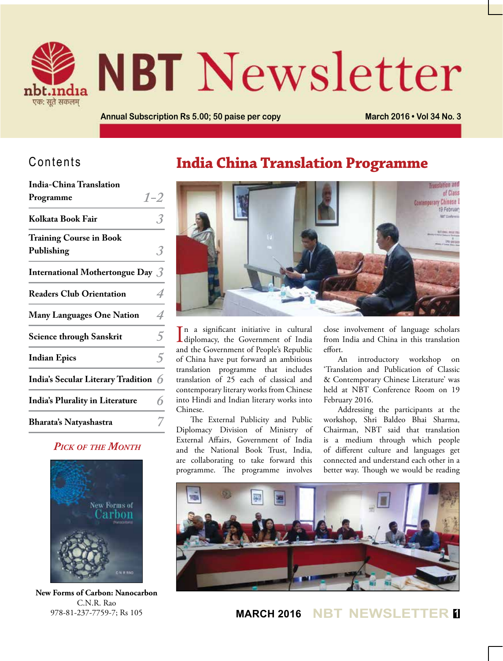

# **NBT** Newsletter

**Annual Subscription Rs 5.00; 50 paise per copy March 2016 • Vol 34 No. 3**

#### Contents

| India-China Translation                |                |
|----------------------------------------|----------------|
| Programme                              | $1 - 2$        |
| Kolkata Book Fair                      |                |
| <b>Training Course in Book</b>         |                |
| Publishing                             |                |
| International Mothertongue Day $\beta$ |                |
| <b>Readers Club Orientation</b>        |                |
| <b>Many Languages One Nation</b>       | 4              |
| <b>Science through Sanskrit</b>        | 5              |
| <b>Indian Epics</b>                    | $\overline{5}$ |
| India's Secular Literary Tradition 6   |                |
| <b>India's Plurality in Literature</b> |                |
| Bharata's Natyashastra                 |                |

#### *Pick of the Month*



**New Forms of Carbon: Nanocarbon** C.N.R. Rao 978-81-237-7759-7; Rs 105

## **India China Translation Programme**



In a significant initiative in cultural<br>diplomacy, the Government of India n a significant initiative in cultural and the Government of People's Republic of China have put forward an ambitious translation programme that includes translation of 25 each of classical and contemporary literary works from Chinese into Hindi and Indian literary works into Chinese.

The External Publicity and Public Diplomacy Division of Ministry of External Affairs, Government of India and the National Book Trust, India, are collaborating to take forward this programme. The programme involves close involvement of language scholars from India and China in this translation effort.

An introductory workshop on 'Translation and Publication of Classic & Contemporary Chinese Literature' was held at NBT Conference Room on 19 February 2016.

Addressing the participants at the workshop, Shri Baldeo Bhai Sharma, Chairman, NBT said that translation is a medium through which people of different culture and languages get connected and understand each other in a better way. Though we would be reading



**MARCH 2016 NBT NEWSLETTER <sup>1</sup>**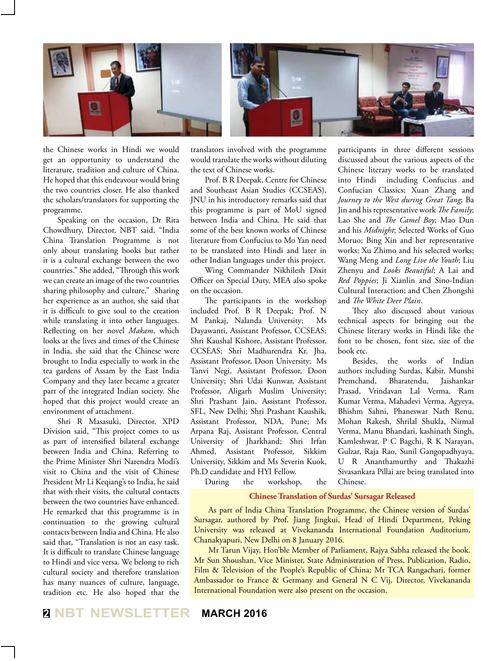

the Chinese works in Hindi we would get an opportunity to understand the literature, tradition and culture of China. He hoped that this endeavour would bring the two countries closer. He also thanked the scholars/translators for supporting the programme.

Speaking on the occasion, Dr Rita Chowdhury, Director, NBT said, "India China Translation Programme is not only about translating books but rather it is a cultural exchange between the two countries." She added, "Through this work we can create an image of the two countries sharing philosophy and culture." Sharing her experience as an author, she said that it is difficult to give soul to the creation while translating it into other languages. Reflecting on her novel *Makam*, which looks at the lives and times of the Chinese in India, she said that the Chinese were brought to India especially to work in the tea gardens of Assam by the East India Company and they later became a greater part of the integrated Indian society. She hoped that this project would create an environment of attachment.

Shri R Masasuki, Director, XPD Division said, "This project comes to us as part of intensified bilateral exchange between India and China. Referring to the Prime Minister Shri Narendra Modi's visit to China and the visit of Chinese President Mr Li Keqiang's to India, he said that with their visits, the cultural contacts between the two countries have enhanced. He remarked that this programme is in continuation to the growing cultural contacts between India and China. He also said that, "Translation is not an easy task. It is difficult to translate Chinese language to Hindi and vice versa. We belong to rich cultural society and therefore translation has many nuances of culture, language, tradition etc. He also hoped that the translators involved with the programme would translate the works without diluting the text of Chinese works.

Prof. B R Deepak, Centre for Chinese and Southeast Asian Studies (CCSEAS), JNU in his introductory remarks said that this programme is part of MoU signed between India and China. He said that some of the best known works of Chinese literature from Confucius to Mo Yan need to be translated into Hindi and later in other Indian languages under this project.

Wing Commander Nikhilesh Dixit Officer on Special Duty, MEA also spoke on the occasion.

The participants in the workshop included Prof. B R Deepak; Prof. N M Pankaj, Nalanda University; Ms Dayawanti, Assistant Professor, CCSEAS; Shri Kaushal Kishore, Assistant Professor, CCSEAS; Shri Madhurendra Kr. Jha, Assistant Professor, Doon University; Ms Tanvi Negi, Assistant Professor, Doon University; Shri Udai Kunwar, Assistant Professor, Aligarh Muslim University; Shri Prashant Jain, Assistant Professor, SFL, New Delhi; Shri Prashant Kaushik, Assistant Professor, NDA, Pune; Ms Arpana Raj, Assistant Professor, Central University of Jharkhand; Shri Irfan Ahmed, Assistant Professor, Sikkim University, Sikkim and Ms Severin Kuok, Ph.D candidate and HYI Fellow.

participants in three different sessions discussed about the various aspects of the Chinese literary works to be translated into Hindi including Confucius and Confucian Classics; Xuan Zhang and *Journey to the West during Great Tang*; Ba Jin and his representative work *The Family*; Lao She and *The Camel Boy*; Mao Dun and his *Midnight*; Selected Works of Guo Moruo; Bing Xin and her representative works; Xu Zhimo and his selected works; Wang Meng and *Long Live the Youth*; Liu Zhenyu and *Looks Beautiful*; A Lai and *Red Poppies*; Ji Xianlin and Sino-Indian Cultural Interaction; and Chen Zhongshi and *The White Deer Plain*.

They also discussed about various technical aspects for bringing out the Chinese literary works in Hindi like the font to be chosen, font size, size of the book etc.

Besides, the works of Indian authors including Surdas, Kabir, Munshi Premchand, Bharatendu, Jaishankar Prasad, Vrindavan Lal Verma, Ram Kumar Verma, Mahadevi Verma, Agyeya, Bhishm Sahni, Phaneswar Nath Renu, Mohan Rakesh, Shrilal Shukla, Nirmal Verma, Manu Bhandari, kashinath Singh, Kamleshwar, P C Bagchi, R K Narayan, Gulzar, Raja Rao, Sunil Gangopadhyaya, U R Ananthamurthy and Thakazhi Sivasankara Pillai are being translated into Chinese.

During the workshop, the

#### **Chinese Translation of Surdas' Sursagar Released**

As part of India China Translation Programme, the Chinese version of Surdas' Sursagar, authored by Prof. Jiang Jingkui, Head of Hindi Department, Peking University was released at Vivekananda International Foundation Auditorium, Chanakyapuri, New Delhi on 8 January 2016.

Mr Tarun Vijay, Hon'ble Member of Parliament, Rajya Sabha released the book. Mr Sun Shoushan, Vice Minister, State Administration of Press, Publication, Radio, Film & Television of the People's Republic of China; Mr TCA Rangachari, former Ambassador to France & Germany and General N C Vij, Director, Vivekananda International Foundation were also present on the occasion.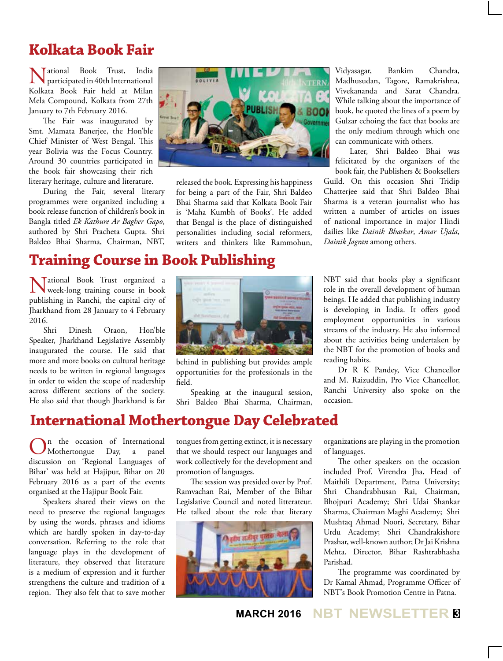#### **Kolkata Book Fair**

National Book Trust, India participated in 40th International Kolkata Book Fair held at Milan Mela Compound, Kolkata from 27th January to 7th February 2016.

The Fair was inaugurated by Smt. Mamata Banerjee, the Hon'ble Chief Minister of West Bengal. This year Bolivia was the Focus Country. Around 30 countries participated in the book fair showcasing their rich literary heritage, culture and literature.

During the Fair, several literary programmes were organized including a book release function of children's book in Bangla titled *Ek Kathure Ar Bagher Gapo*, authored by Shri Pracheta Gupta. Shri Baldeo Bhai Sharma, Chairman, NBT,

# **Training Course in Book Publishing**

National Book Trust organized a week-long training course in book publishing in Ranchi, the capital city of Jharkhand from 28 January to 4 February 2016.

Shri Dinesh Oraon, Hon'ble Speaker, Jharkhand Legislative Assembly inaugurated the course. He said that more and more books on cultural heritage needs to be written in regional languages in order to widen the scope of readership across different sections of the society. He also said that though Jharkhand is far



released the book. Expressing his happiness for being a part of the Fair, Shri Baldeo Bhai Sharma said that Kolkata Book Fair is 'Maha Kumbh of Books'. He added that Bengal is the place of distinguished personalities including social reformers, writers and thinkers like Rammohun,

Vidyasagar, Bankim Chandra, Madhusudan, Tagore, Ramakrishna, Vivekananda and Sarat Chandra. While talking about the importance of book, he quoted the lines of a poem by Gulzar echoing the fact that books are the only medium through which one can communicate with others.

Later, Shri Baldeo Bhai was felicitated by the organizers of the

book fair, the Publishers & Booksellers Guild. On this occasion Shri Tridip Chatterjee said that Shri Baldeo Bhai Sharma is a veteran journalist who has written a number of articles on issues of national importance in major Hindi dailies like *Dainik Bhaskar*, *Amar Ujala*, *Dainik Jagran* among others.



behind in publishing but provides ample opportunities for the professionals in the field.

Speaking at the inaugural session, Shri Baldeo Bhai Sharma, Chairman, NBT said that books play a significant role in the overall development of human beings. He added that publishing industry is developing in India. It offers good employment opportunities in various streams of the industry. He also informed about the activities being undertaken by the NBT for the promotion of books and reading habits.

Dr R K Pandey, Vice Chancellor and M. Raizuddin, Pro Vice Chancellor, Ranchi University also spoke on the occasion.

#### **International Mothertongue Day Celebrated**

n the occasion of International Mothertongue Day, a panel discussion on 'Regional Languages of Bihar' was held at Hajipur, Bihar on 20 February 2016 as a part of the events organised at the Hajipur Book Fair.

Speakers shared their views on the need to preserve the regional languages by using the words, phrases and idioms which are hardly spoken in day-to-day conversation. Referring to the role that language plays in the development of literature, they observed that literature is a medium of expression and it further strengthens the culture and tradition of a region. They also felt that to save mother

tongues from getting extinct, it is necessary that we should respect our languages and work collectively for the development and promotion of languages.

The session was presided over by Prof. Ramvachan Rai, Member of the Bihar Legislative Council and noted litterateur. He talked about the role that literary



organizations are playing in the promotion of languages.

The other speakers on the occasion included Prof. Virendra Jha, Head of Maithili Department, Patna University; Shri Chandrabhusan Rai, Chairman, Bhojpuri Academy; Shri Udai Shankar Sharma, Chairman Maghi Academy; Shri Mushtaq Ahmad Noori, Secretary, Bihar Urdu Academy; Shri Chandrakishore Prashar, well-known author; Dr Jai Krishna Mehta, Director, Bihar Rashtrabhasha Parishad.

The programme was coordinated by Dr Kamal Ahmad, Programme Officer of NBT's Book Promotion Centre in Patna.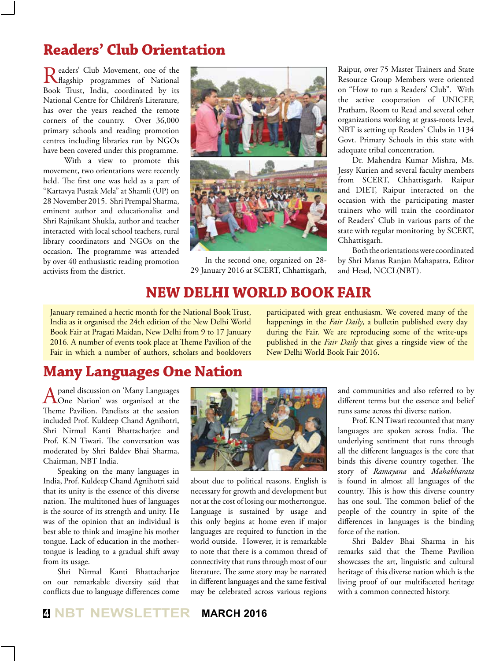# **Readers' Club Orientation**

Readers' Club Movement, one of the Ragship programmes of National Book Trust, India, coordinated by its National Centre for Children's Literature, has over the years reached the remote corners of the country. Over 36,000 primary schools and reading promotion centres including libraries run by NGOs have been covered under this programme.

 With a view to promote this movement, two orientations were recently held. The first one was held as a part of "Kartavya Pustak Mela" at Shamli (UP) on 28 November 2015. Shri Prempal Sharma, eminent author and educationalist and Shri Rajnikant Shukla, author and teacher interacted with local school teachers, rural library coordinators and NGOs on the occasion. The programme was attended by over 40 enthusiastic reading promotion activists from the district.



In the second one, organized on 28- 29 January 2016 at SCERT, Chhattisgarh,

Raipur, over 75 Master Trainers and State Resource Group Members were oriented on "How to run a Readers' Club". With the active cooperation of UNICEF, Pratham, Room to Read and several other organizations working at grass-roots level, NBT is setting up Readers' Clubs in 1134 Govt. Primary Schools in this state with adequate tribal concentration.

Dr. Mahendra Kumar Mishra, Ms. Jessy Kurien and several faculty members from SCERT, Chhattisgarh, Raipur and DIET, Raipur interacted on the occasion with the participating master trainers who will train the coordinator of Readers' Club in various parts of the state with regular monitoring by SCERT, Chhattisgarh.

Both the orientations were coordinated by Shri Manas Ranjan Mahapatra, Editor and Head, NCCL(NBT).

#### **New Delhi World Book Fair**

January remained a hectic month for the National Book Trust, India as it organised the 24th edition of the New Delhi World Book Fair at Pragati Maidan, New Delhi from 9 to 17 January 2016. A number of events took place at Theme Pavilion of the Fair in which a number of authors, scholars and booklovers

participated with great enthusiasm. We covered many of the happenings in the *Fair Daily*, a bulletin published every day during the Fair. We are reproducing some of the write-ups published in the *Fair Daily* that gives a ringside view of the New Delhi World Book Fair 2016.

#### **Many Languages One Nation**

A panel discussion on 'Many Languages<br>
One Nation' was organised at the Theme Pavilion. Panelists at the session included Prof. Kuldeep Chand Agnihotri, Shri Nirmal Kanti Bhattacharjee and Prof. K.N Tiwari. The conversation was moderated by Shri Baldev Bhai Sharma, Chairman, NBT India.

Speaking on the many languages in India, Prof. Kuldeep Chand Agnihotri said that its unity is the essence of this diverse nation. The multitoned hues of languages is the source of its strength and unity. He was of the opinion that an individual is best able to think and imagine his mother tongue. Lack of education in the mothertongue is leading to a gradual shift away from its usage.

Shri Nirmal Kanti Bhattacharjee on our remarkable diversity said that conflicts due to language differences come



about due to political reasons. English is necessary for growth and development but not at the cost of losing our mothertongue. Language is sustained by usage and this only begins at home even if major languages are required to function in the world outside. However, it is remarkable to note that there is a common thread of connectivity that runs through most of our literature. The same story may be narrated in different languages and the same festival may be celebrated across various regions

and communities and also referred to by different terms but the essence and belief runs same across thi diverse nation.

Prof. K.N Tiwari recounted that many languages are spoken across India. The underlying sentiment that runs through all the different languages is the core that binds this diverse country together. The story of *Ramayana* and *Mahabharata*  is found in almost all languages of the country. This is how this diverse country has one soul. The common belief of the people of the country in spite of the differences in languages is the binding force of the nation.

Shri Baldev Bhai Sharma in his remarks said that the Theme Pavilion showcases the art, linguistic and cultural heritage of this diverse nation which is the living proof of our multifaceted heritage with a common connected history.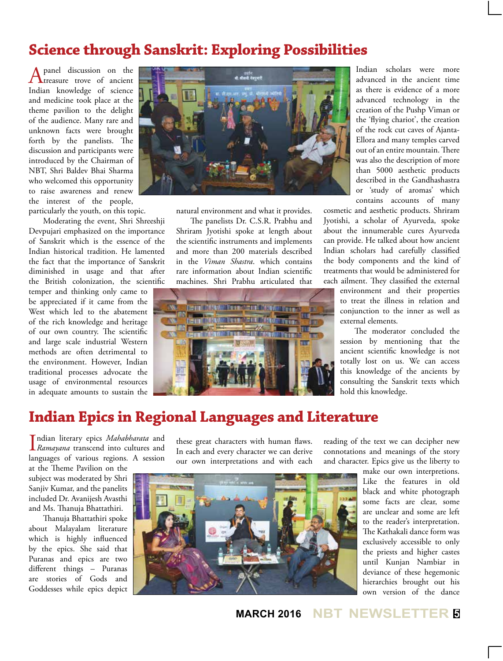#### **Science through Sanskrit: Exploring Possibilities**

A panel discussion on the treasure trove of ancient Indian knowledge of science and medicine took place at the theme pavilion to the delight of the audience. Many rare and unknown facts were brought forth by the panelists. The discussion and participants were introduced by the Chairman of NBT, Shri Baldev Bhai Sharma who welcomed this opportunity to raise awareness and renew the interest of the people, particularly the youth, on this topic.

Moderating the event, Shri Shreeshji Devpujari emphasized on the importance of Sanskrit which is the essence of the Indian historical tradition. He lamented the fact that the importance of Sanskrit diminished in usage and that after the British colonization, the scientific

temper and thinking only came to be appreciated if it came from the West which led to the abatement of the rich knowledge and heritage of our own country. The scientific and large scale industrial Western methods are often detrimental to the environment. However, Indian traditional processes advocate the usage of environmental resources in adequate amounts to sustain the



natural environment and what it provides.

The panelists Dr. C.S.R. Prabhu and Shriram Jyotishi spoke at length about the scientific instruments and implements and more than 200 materials described in the *Viman Shastra*. which contains rare information about Indian scientific machines. Shri Prabhu articulated that



Indian scholars were more advanced in the ancient time as there is evidence of a more advanced technology in the creation of the Pushp Viman or the 'flying chariot', the creation of the rock cut caves of Ajanta-Ellora and many temples carved out of an entire mountain. There was also the description of more than 5000 aesthetic products described in the Gandhashastra or 'study of aromas' which contains accounts of many

cosmetic and aesthetic products. Shriram Jyotishi, a scholar of Ayurveda, spoke about the innumerable cures Ayurveda can provide. He talked about how ancient Indian scholars had carefully classified the body components and the kind of treatments that would be administered for each ailment. They classified the external

> environment and their properties to treat the illness in relation and conjunction to the inner as well as external elements.

> The moderator concluded the session by mentioning that the ancient scientific knowledge is not totally lost on us. We can access this knowledge of the ancients by consulting the Sanskrit texts which hold this knowledge.

#### **Indian Epics in Regional Languages and Literature**

**I** ndian literary epics *Mahabharata* and<br>*Ramayana* transcend into cultures and ndian literary epics *Mahabharata* and languages of various regions. A session

at the Theme Pavilion on the subject was moderated by Shri Sanjiv Kumar, and the panelits included Dr. Avanijesh Avasthi and Ms. Thanuja Bhattathiri.

Thanuja Bhattathiri spoke about Malayalam literature which is highly influenced by the epics. She said that Puranas and epics are two different things – Puranas are stories of Gods and Goddesses while epics depict these great characters with human flaws. In each and every character we can derive our own interpretations and with each reading of the text we can decipher new connotations and meanings of the story and character. Epics give us the liberty to



make our own interpretions. Like the features in old black and white photograph some facts are clear, some are unclear and some are left to the reader's interpretation. The Kathakali dance form was exclusively accessible to only the priests and higher castes until Kunjan Nambiar in deviance of these hegemonic hierarchies brought out his own version of the dance

**MARCH 2016 NBT NEWSLETTER <sup>5</sup>**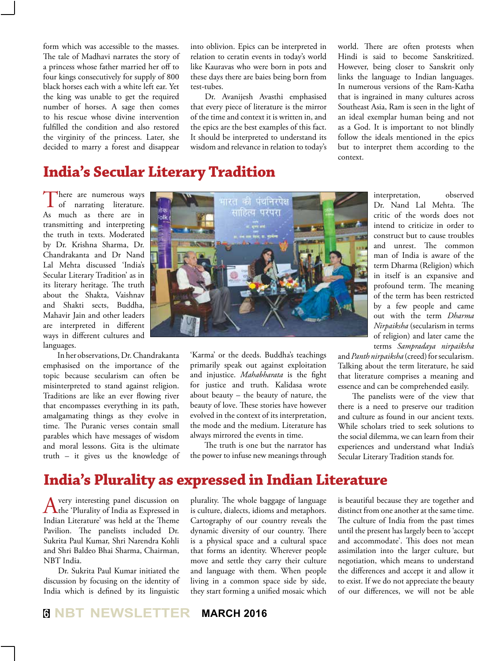form which was accessible to the masses. The tale of Madhavi narrates the story of a princess whose father married her off to four kings consecutively for supply of 800 black horses each with a white left ear. Yet the king was unable to get the required number of horses. A sage then comes to his rescue whose divine intervention fulfilled the condition and also restored the virginity of the princess. Later, she decided to marry a forest and disappear

into oblivion. Epics can be interpreted in relation to ceratin events in today's world like Kauravas who were born in pots and these days there are baies being born from test-tubes.

Dr. Avanijesh Avasthi emphasised that every piece of literature is the mirror of the time and context it is written in, and the epics are the best examples of this fact. It should be interpreted to understand its wisdom and relevance in relation to today's

world. There are often protests when Hindi is said to become Sanskritized. However, being closer to Sanskrit only links the language to Indian languages. In numerous versions of the Ram-Katha that is ingrained in many cultures across Southeast Asia, Ram is seen in the light of an ideal exemplar human being and not as a God. It is important to not blindly follow the ideals mentioned in the epics but to interpret them according to the context.

# **India's Secular Literary Tradition**

There are numerous ways<br>of narrating literature. As much as there are in transmitting and interpreting the truth in texts. Moderated by Dr. Krishna Sharma, Dr. Chandrakanta and Dr Nand Lal Mehta discussed 'India's Secular Literary Tradition' as in its literary heritage. The truth about the Shakta, Vaishnav and Shakti sects, Buddha, Mahavir Jain and other leaders are interpreted in different ways in different cultures and languages.

In her observations, Dr. Chandrakanta emphasised on the importance of the topic because secularism can often be misinterpreted to stand against religion. Traditions are like an ever flowing river that encompasses everything in its path, amalgamating things as they evolve in time. The Puranic verses contain small parables which have messages of wisdom and moral lessons. Gita is the ultimate truth – it gives us the knowledge of



'Karma' or the deeds. Buddha's teachings primarily speak out against exploitation and injustice. *Mahabharata* is the fight for justice and truth. Kalidasa wrote about beauty – the beauty of nature, the beauty of love. These stories have however evolved in the context of its interpretation, the mode and the medium. Literature has always mirrored the events in time.

The truth is one but the narrator has the power to infuse new meanings through interpretation, observed Dr. Nand Lal Mehta. The critic of the words does not intend to criticize in order to construct but to cause troubles and unrest. The common man of India is aware of the term Dharma (Religion) which in itself is an expansive and profound term. The meaning of the term has been restricted by a few people and came out with the term *Dharma Nirpaiksha* (secularism in terms of religion) and later came the terms *Sampradaya nirpaiksha*

and *Panth nirpaiksha* (creed) for secularism. Talking about the term literature, he said that literature comprises a meaning and essence and can be comprehended easily.

The panelists were of the view that there is a need to preserve our tradition and culture as found in our ancient texts. While scholars tried to seek solutions to the social dilemma, we can learn from their experiences and understand what India's Secular Literary Tradition stands for.

#### **India's Plurality as expressed in Indian Literature**

A very interesting panel discussion on<br>the 'Plurality of India as Expressed in Indian Literature' was held at the Theme Pavilion. The panelists included Dr. Sukrita Paul Kumar, Shri Narendra Kohli and Shri Baldeo Bhai Sharma, Chairman, NBT India.

Dr. Sukrita Paul Kumar initiated the discussion by focusing on the identity of India which is defined by its linguistic plurality. The whole baggage of language is culture, dialects, idioms and metaphors. Cartography of our country reveals the dynamic diversity of our country. There is a physical space and a cultural space that forms an identity. Wherever people move and settle they carry their culture and language with them. When people living in a common space side by side, they start forming a unified mosaic which

is beautiful because they are together and distinct from one another at the same time. The culture of India from the past times until the present has largely been to 'accept and accommodate'. This does not mean assimilation into the larger culture, but negotiation, which means to understand the differences and accept it and allow it to exist. If we do not appreciate the beauty of our differences, we will not be able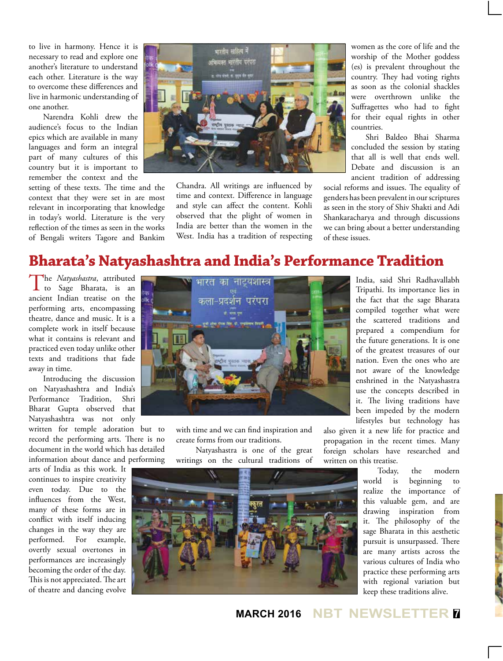to live in harmony. Hence it is necessary to read and explore one another's literature to understand each other. Literature is the way to overcome these differences and live in harmonic understanding of one another.

Narendra Kohli drew the audience's focus to the Indian epics which are available in many languages and form an integral part of many cultures of this country but it is important to remember the context and the

setting of these texts. The time and the context that they were set in are most relevant in incorporating that knowledge in today's world. Literature is the very reflection of the times as seen in the works of Bengali writers Tagore and Bankim



Chandra. All writings are influenced by time and context. Difference in language and style can affect the content. Kohli observed that the plight of women in India are better than the women in the West. India has a tradition of respecting women as the core of life and the worship of the Mother goddess (es) is prevalent throughout the country. They had voting rights as soon as the colonial shackles were overthrown unlike the Suffragettes who had to fight for their equal rights in other countries.

Shri Baldeo Bhai Sharma concluded the session by stating that all is well that ends well. Debate and discussion is an ancient tradition of addressing

social reforms and issues. The equality of genders has been prevalent in our scriptures as seen in the story of Shiv Shakti and Adi Shankaracharya and through discussions we can bring about a better understanding of these issues.

## **Bharata's Natyashashtra and India's Performance Tradition**

The *Natyashastra*, attributed to Sage Bharata, is an ancient Indian treatise on the performing arts, encompassing theatre, dance and music. It is a complete work in itself because what it contains is relevant and practiced even today unlike other texts and traditions that fade away in time.

Introducing the discussion on Natyashashtra and India's Performance Tradition, Shri Bharat Gupta observed that Natyashashtra was not only

written for temple adoration but to record the performing arts. There is no document in the world which has detailed information about dance and performing

arts of India as this work. It continues to inspire creativity even today. Due to the influences from the West, many of these forms are in conflict with itself inducing changes in the way they are performed. For example, overtly sexual overtones in performances are increasingly becoming the order of the day. This is not appreciated. The art of theatre and dancing evolve



with time and we can find inspiration and create forms from our traditions.

 Natyashastra is one of the great writings on the cultural traditions of

India, said Shri Radhavallabh Tripathi. Its importance lies in the fact that the sage Bharata compiled together what were the scattered traditions and prepared a compendium for the future generations. It is one of the greatest treasures of our nation. Even the ones who are not aware of the knowledge enshrined in the Natyashastra use the concepts described in it. The living traditions have been impeded by the modern lifestyles but technology has

also given it a new life for practice and propagation in the recent times. Many foreign scholars have researched and written on this treatise.



Today, the modern world is beginning to realize the importance of this valuable gem, and are drawing inspiration from it. The philosophy of the sage Bharata in this aesthetic pursuit is unsurpassed. There are many artists across the various cultures of India who practice these performing arts with regional variation but keep these traditions alive.

**MARCH 2016 NBT NEWSLETTER <sup>7</sup>**